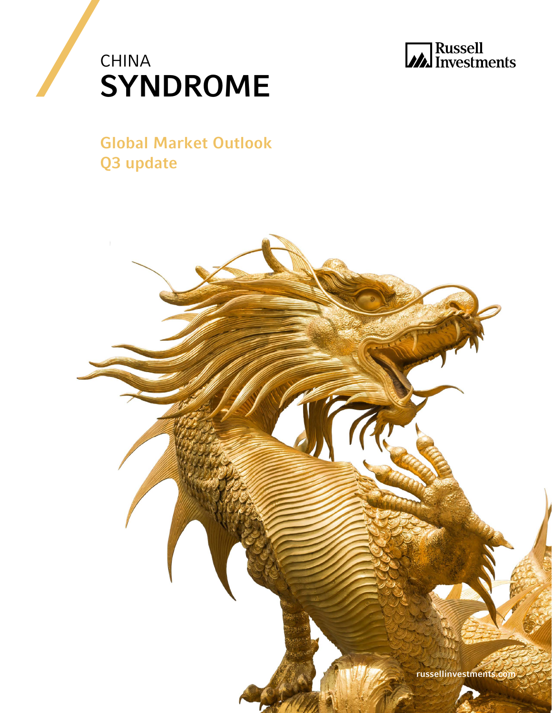



Global Market Outlook Q3 update

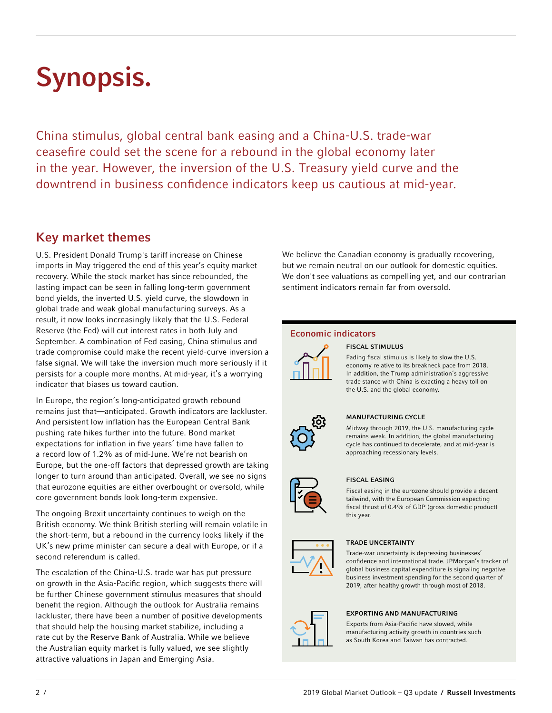# Synopsis.

China stimulus, global central bank easing and a China-U.S. trade-war ceasefire could set the scene for a rebound in the global economy later in the year. However, the inversion of the U.S. Treasury yield curve and the downtrend in business confidence indicators keep us cautious at mid-year.

## Key market themes

U.S. President Donald Trump's tariff increase on Chinese imports in May triggered the end of this year's equity market recovery. While the stock market has since rebounded, the lasting impact can be seen in falling long-term government bond yields, the inverted U.S. yield curve, the slowdown in global trade and weak global manufacturing surveys. As a result, it now looks increasingly likely that the U.S. Federal Reserve (the Fed) will cut interest rates in both July and September. A combination of Fed easing, China stimulus and trade compromise could make the recent yield-curve inversion a false signal. We will take the inversion much more seriously if it persists for a couple more months. At mid-year, it's a worrying indicator that biases us toward caution.

In Europe, the region's long-anticipated growth rebound remains just that—anticipated. Growth indicators are lackluster. And persistent low inflation has the European Central Bank pushing rate hikes further into the future. Bond market expectations for inflation in five years' time have fallen to a record low of 1.2% as of mid-June. We're not bearish on Europe, but the one-off factors that depressed growth are taking longer to turn around than anticipated. Overall, we see no signs that eurozone equities are either overbought or oversold, while core government bonds look long-term expensive.

The ongoing Brexit uncertainty continues to weigh on the British economy. We think British sterling will remain volatile in the short-term, but a rebound in the currency looks likely if the UK's new prime minister can secure a deal with Europe, or if a second referendum is called.

The escalation of the China-U.S. trade war has put pressure on growth in the Asia-Pacific region, which suggests there will be further Chinese government stimulus measures that should benefit the region. Although the outlook for Australia remains lackluster, there have been a number of positive developments that should help the housing market stabilize, including a rate cut by the Reserve Bank of Australia. While we believe the Australian equity market is fully valued, we see slightly attractive valuations in Japan and Emerging Asia.

We believe the Canadian economy is gradually recovering, but we remain neutral on our outlook for domestic equities. We don't see valuations as compelling yet, and our contrarian sentiment indicators remain far from oversold.

## Economic indicators



## FISCAL STIMULUS

Fading fiscal stimulus is likely to slow the U.S. economy relative to its breakneck pace from 2018. In addition, the Trump administration's aggressive trade stance with China is exacting a heavy toll on the U.S. and the global economy.



## MANUFACTURING CYCLE

Midway through 2019, the U.S. manufacturing cycle remains weak. In addition, the global manufacturing cycle has continued to decelerate, and at mid-year is approaching recessionary levels.



## FISCAL EASING

Fiscal easing in the eurozone should provide a decent tailwind, with the European Commission expecting fiscal thrust of 0.4% of GDP (gross domestic product) this year.



## TRADE UNCERTAINTY

Trade-war uncertainty is depressing businesses' confidence and international trade. JPMorgan's tracker of global business capital expenditure is signaling negative business investment spending for the second quarter of 2019, after healthy growth through most of 2018.



#### EXPORTING AND MANUFACTURING

Exports from Asia-Pacific have slowed, while manufacturing activity growth in countries such as South Korea and Taiwan has contracted.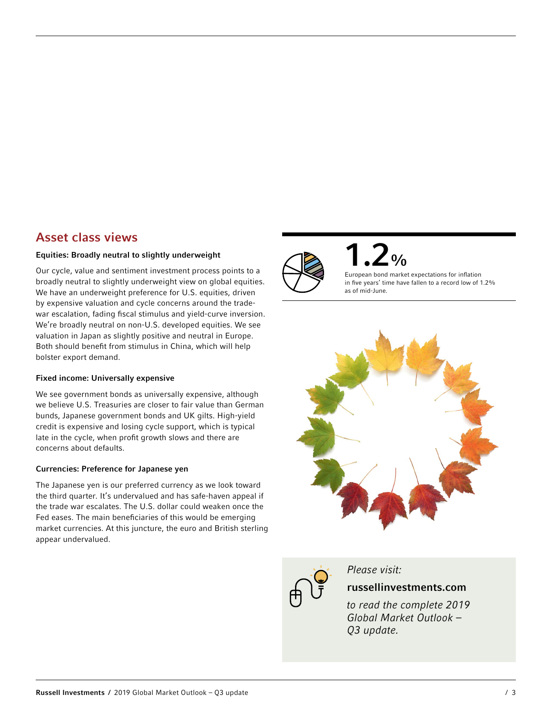## Asset class views

## Equities: Broadly neutral to slightly underweight

Our cycle, value and sentiment investment process points to a broadly neutral to slightly underweight view on global equities. We have an underweight preference for U.S. equities, driven by expensive valuation and cycle concerns around the tradewar escalation, fading fiscal stimulus and yield-curve inversion. We're broadly neutral on non-U.S. developed equities. We see valuation in Japan as slightly positive and neutral in Europe. Both should benefit from stimulus in China, which will help bolster export demand.

## Fixed income: Universally expensive

We see government bonds as universally expensive, although we believe U.S. Treasuries are closer to fair value than German bunds, Japanese government bonds and UK gilts. High-yield credit is expensive and losing cycle support, which is typical late in the cycle, when profit growth slows and there are concerns about defaults.

## Currencies: Preference for Japanese yen

The Japanese yen is our preferred currency as we look toward the third quarter. It's undervalued and has safe-haven appeal if the trade war escalates. The U.S. dollar could weaken once the Fed eases. The main beneficiaries of this would be emerging market currencies. At this juncture, the euro and British sterling appear undervalued.



 $2<sub>0</sub>$ 

European bond market expectations for inflation in five years' time have fallen to a record low of 1.2% as of mid-June.





*Please visit:*

## russellinvestments.com

*to read the complete 2019 Global Market Outlook – Q3 update.*